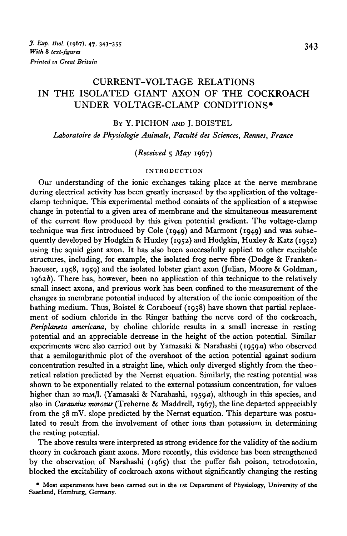# CURRENT-VOLTAGE RELATIONS IN THE ISOLATED GIANT AXON OF THE COCKROACH UNDER VOLTAGE-CLAMP CONDITIONS\*

#### BY Y. PICHON AND I. BOISTEL

*Laboratoire de Physiologie Animale, Faculte des Sciences, Rermes, France*

*(Received* 5 *May* 1967)

#### **INTRODUCTION**

Our understanding of the ionic exchanges taking place at the nerve membrane during electrical activity has been greatly increased by the application of the voltageclamp technique. This experimental method consists of the application of a stepwise change in potential to a given area of membrane and the simultaneous measurement of the current flow produced by this given potential gradient. The voltage-clamp technique was first introduced by Cole (1949) and Marmont (1949) and was subsequently developed by Hodgkin & Huxley (1952) and Hodgkin, Huxley & Katz (1952) using the squid giant axon. It has also been successfully applied to other excitable structures, including, for example, the isolated frog nerve fibre (Dodge & Frankenhaeuser, 1958, 1959) and the isolated lobster giant axon (Julian, Moore & Goldman,  $1962b$ ). There has, however, been no application of this technique to the relatively small insect axons, and previous work has been confined to the measurement of the changes in membrane potential induced by alteration of the ionic composition of the bathing medium. Thus, Boistel & Coraboeuf (1958) have shown that partial replacement of sodium chloride in the Ringer bathing the nerve cord of the cockroach, *Periplaneta americana,* by choline chloride results in a small increase in resting potential and an appreciable decrease in the height of the action potential. Similar experiments were also carried out by Yamasaki & Narahashi (1959a) who observed that a 8emilogarithmic plot of the overshoot of the action potential against sodium concentration resulted in a straight line, which only diverged slightly from the theoretical relation predicted by the Nernst equation. Similarly, the resting potential was shown to be exponentially related to the external potassium concentration, for values higher than 20 mm/l. (Yamasaki & Narahashi, 1959a), although in this species, and also in *Carausius morosus* (Treherne & Maddrell, 1967), the line departed appreciably from the 58 mV. slope predicted by the Nernst equation. This departure was postulated to result from the involvement of other ions than potassium in determining the resting potential.

The above results were interpreted as strong evidence for the validity of the sodium theory in cockroach giant axons. More recently, this evidence has been strengthened by the observation of Narahashi (1965) that the puffer fish poison, tetrodotoxin, blocked the excitability of cockroach axons without significantly changing the resting

**• Most experiments have been earned out in the 1st Department of Physiology, University of the Saarland, Homburg, Germany.**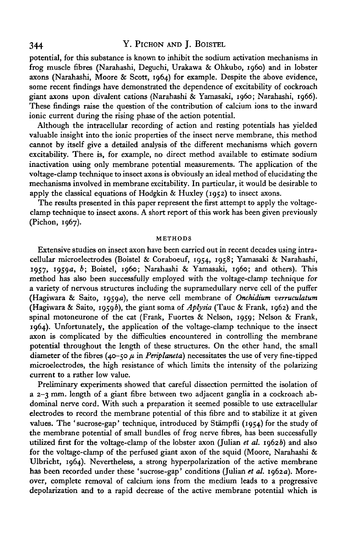# 344 Y. PICHON AND J. BOISTEL

potential, for this substance is known to inhibit the sodium activation mechanisms in frog muscle fibres (Narahashi, Deguchi, Urakawa & Ohkubo, i960) and in lobster axons (Narahashi, Moore & Scott, 1964) for example. Despite the above evidence, some recent findings have demonstrated the dependence of excitability of cockroach giant axons upon divalent cations (Narahashi & Yamasaki, i960; Narahashi, 1966). These findings raise the question of the contribution of calcium ions to the inward ionic current during the rising phase of the action potential.

Although the intracellular recording of action and resting potentials has yielded valuable insight into the ionic properties of the insect nerve membrane, this method cannot by itself give a detailed analysis of the different mechanisms which govern excitability. There is, for example, no direct method available to estimate sodium inactivation using only membrane potential measurements. The application of the voltage-damp technique to insect axons is obviously an ideal method of elucidating the mechanisms involved in membrane excitability. In particular, it would be desirable to apply the classical equations of Hodgkin & Huxley (1952) to insect axons.

The results presented in this paper represent the first attempt to apply the voltageclamp technique to insect axons. A short report of this work has been given previously (Pichon, 1967).

#### METHODS

Extensive studies on insect axon have been carried out in recent decades using intracellular microelectrodes (Boistel & Coraboeuf, 1954, 1958; Yamasaki & Narahashi, 1957, 1959a, *b;* Boistel, i960; Narahashi & Yamasaki, i960; and others). This method has also been successfully employed with the voltage-clamp technique for a variety of nervous structures including the supramedullary nerve cell of the puffer (Hagiwara & Saito, 1959 a), the nerve cell membrane of *Onchidium verruculatum* (Hagiwara & Saito, 1959b), the giant soma of  $Ablysia$  (Tauc & Frank, 1962) and the spinal motoneurone of the cat (Frank, Fuortes & Nelson, 1959; Nelson & Frank, 1964). Unfortunately, the application of the voltage-clamp technique to the insect axon is complicated by the difficulties encountered in controlling the membrane potential throughout the length of these structures. On the other hand, the small diameter of the fibres (40-50  $\mu$  in *Periplaneta*) necessitates the use of very fine-tipped microelectrodes, the high resistance of which limits the intensity of the polarizing current to a rather low value.

Preliminary experiments showed that careful dissection permitted the isolation of a 2-3 mm. length of a giant fibre between two adjacent ganglia in a cockroach abdominal nerve cord. With such a preparation it seemed possible to use extracellular electrodes to record the membrane potential of this fibre and to stabilize it at given values. The 'sucrose-gap' technique, introduced by Stampfli (1954) for the study of the membrane potential of small bundles of frog nerve fibres, has been successfully utilized first for the voltage-clamp of the lobster axon (Julian *et al.* 19626) and also for the voltage-clamp of the perfused giant axon of the squid (Moore, Narahashi  $\&$ Ulbricht, 1964). Nevertheless, a strong hyperpolarization of the active membrane has been recorded under these 'sucrose-gap' conditions (Julian et al. 1962a). Moreover, complete removal of calcium ions from the medium leads to a progressive depolarization and to a rapid decrease of the active membrane potential which is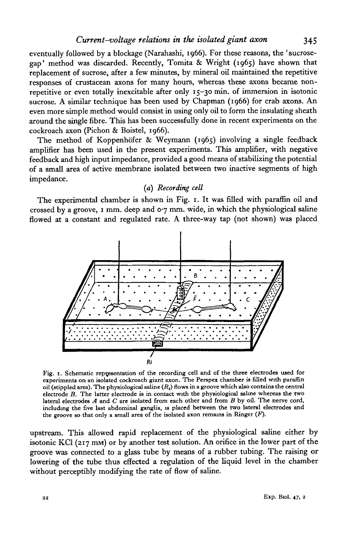eventually followed by a blockage (Narahashi, 1966). For these reasons, the 'sucrosegap' method was discarded. Recently, Tomita & Wright (1965) have shown that replacement of sucrose, after a few minutes, by mineral oil maintained the repetitive responses of crustacean axons for many hours, whereas these axons became nonrepetitive or even totally inexcitable after only 15-30 min. of immersion in isotonic sucrose. A similar technique has been used by Chapman (1966) for crab axons. An even more simple method would consist in using only oil to form the insulating sheath around the single fibre. This has been successfully done in recent experiments on the cockroach axon (Pichon & Boistel, 1966).

The method of Koppenhöfer & Weymann (1965) involving a single feedback amplifier has been used in the present experiments. This amplifier, with negative feedback and high input impedance, provided a good means of stabilizing the potential of a small area of active membrane isolated between two inactive segments of high impedance.

## *(a) Recording cell*

The experimental chamber is shown in Fig. 1. It was filled with paraffin oil and crossed by a groove, 1 mm. deep and  $o\gamma$  mm. wide, in which the physiological saline flowed at a constant and regulated rate. A three-way tap (not shown) was placed



Fig. 1. Schematic representation of the recording cell and of the three electrodes used for experiments on an isolated cockroach giant axon. The Perspex chamber is filled with paraffin oil (stippled area). The physiologic lateral electrodes  $A$  and  $C$  are isolated from each other and from  $B$  by oil. The nerve cord, including the five last abdominal ganglia, is placed between the two lateral electrodes and the groove so that only a small area of the isolated axon remains in Ringer *(F).*

upstream. This allowed rapid replacement of the physiological saline either by isotonic KCl (217 mm) or by another test solution. An orifice in the lower part of the groove was connected to a glass tube by means of a rubber tubing. The raising or lowering of the tube thus effected a regulation of the liquid level in the chamber without perceptibly modifying the rate of flow of saline.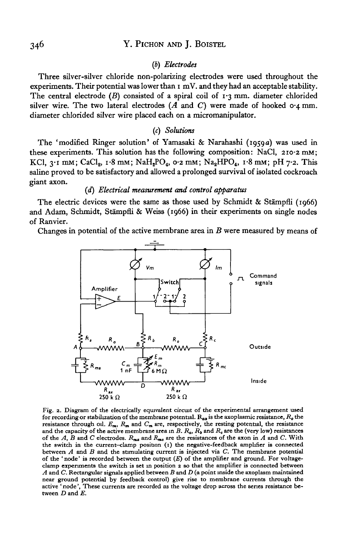## *(b) Electrodes*

Three silver-silver chloride non-polarizing electrodes were used throughout the experiments. Their potential was lower than  $\mathbf{r}$  mV. and they had an acceptable stability. The central electrode  $(B)$  consisted of a spiral coil of  $1.3$  mm. diameter chlorided silver wire. The two lateral electrodes  $(A \text{ and } C)$  were made of hooked  $\circ A$  mm. diameter chlorided silver wire placed each on a micromanipulator.

## *(c) Solutions*

The 'modified Ringer solution' of Yamasaki & Narahashi (1959a) was used in these experiments. This solution has the following composition: NaCl,  $210.2$  mM; KCl,  $3 \cdot I$  mM; CaCl<sub>2</sub>,  $I \cdot 8$  mM; NaH<sub>2</sub>PO<sub>4</sub>,  $0 \cdot 2$  mM; Na<sub>2</sub>HPO<sub>4</sub>,  $I \cdot 8$  mM; pH 7.2. This saline proved to be satisfactory and allowed a prolonged survival of isolated cockroach giant axon.

#### *(d) Electrical measurement and control apparatus*

The electric devices were the same as those used by Schmidt & Stampfli (1966) and Adam, Schmidt, Stampfli & Weiss (1966) in their experiments on single nodes of Ranvier.

Changes in potential of the active membrane area in *B* were measured by means of



Fig. 2. Diagram of the electrically equivalent circuit of the experimental arrangement used<br>for recording or stabilization of the membrane potential.  $R_{\alpha\alpha}$  is the axoplasmic resistance,  $R_{\alpha}$  the resistance through oil.  $E_m$ ,  $R_m$  and  $C_m$  are, respectively, the resting potential, the resistance<br>and the capacity of the active membrane area in B.  $R_a$ ,  $R_b$  and  $R_c$  are the (very low) resistances<br>of the A, B and C the switch in the current—clamp position (i) the negative-feedback amplifier is connected between A and B and the stimulating current is injected via C. The membrane potential<br>of the 'node' is recorded between the output  $(E)$  of the amplifier and ground. For voltage-<br>clamp experiments the switch is set in posi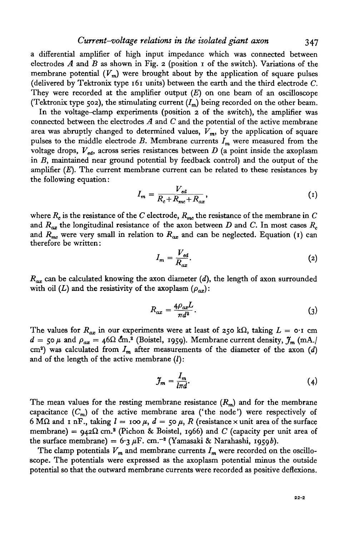a differential amplifier of high input impedance which was connected between electrodes  $A$  and  $B$  as shown in Fig. 2 (position  $I$  of the switch). Variations of the membrane potential  $(V_m)$  were brought about by the application of square pulses (delivered by Tektronix type 161 units) between the earth and the third electrode *C.* They were recorded at the amplifier output *(E)* on one beam of an oscilloscope (Tektronix type 502), the stimulating current  $(I_m)$  being recorded on the other beam.

In the voltage-clamp experiments (position 2 of the switch), the amplifier was connected between the electrodes *A* and *C* and the potential of the active membrane area was abruptly changed to determined values,  $V_m$ , by the application of square pulses to the middle electrode  $B$ . Membrane currents  $I_m$  were measured from the voltage drops,  $V_{\text{at}}$  across series resistances between *D* (a point inside the axoplasm in *B,* maintained near ground potential by feedback control) and the output of the amplifier  $(E)$ . The current membrane current can be related to these resistances by the following equation:

$$
I_m = \frac{V_{ed}}{R_c + R_{mc} + R_{ax}},\tag{1}
$$

where  $R_c$  is the resistance of the *C* electrode,  $R_{mc}$  the resistance of the membrane in *C* and  $R_{ax}$  the longitudinal resistance of the axon between *D* and *C*. In most cases  $R_c$ and  $R_{me}$  were very small in relation to  $R_{ax}$  and can be neglected. Equation (1) can therefore be written:

$$
I_m = \frac{V_{cd}}{R_{ax}}.\t(2)
$$

*Rax* can be calculated knowing the axon diameter *(d),* the length of axon surrounded with oil (L) and the resistivity of the axoplasm  $(\rho_{ax})$ :

$$
R_{ax} = \frac{4\rho_{ax}L}{\pi d^2}.
$$
\n(3)

The values for  $R_{ax}$  in our experiments were at least of 250 k $\Omega$ , taking  $L = o \cdot i$  cm  $d = 50 \mu$  and  $\rho_{ax} = 46 \Omega \text{ cm}^2$  (Boistel, 1959). Membrane current density,  $\mathcal{J}_m$  (mA./ cm2 ) was calculated from *Jm* after measurements of the diameter of the axon *(d)* and of the length of the active membrane  $(l)$ :

$$
\mathcal{J}_m = \frac{I_m}{l \pi d}.\tag{4}
$$

The mean values for the resting membrane resistance  $(R_m)$  and for the membrane capacitance  $(C_m)$  of the active membrane area ('the node') were respectively of 6 M $\Omega$  and 1 nF., taking  $l = \infty$   $\mu$ ,  $d = \infty$   $\mu$ , R (resistance x unit area of the surface membrane) =  $942\Omega$  cm.<sup>2</sup> (Pichon & Boistel, 1966) and *C* (capacity per unit area of the surface membrane) =  $6.3 \mu$ F. cm.<sup>-2</sup> (Yamasaki & Narahashi, 1959b).

The clamp potentials  $V_m$  and membrane currents  $I_m$  were recorded on the oscilloscope. The potentials were expressed as the axoplasm potential minus the outside potential so that the outward membrane currents were recorded as positive deflexions.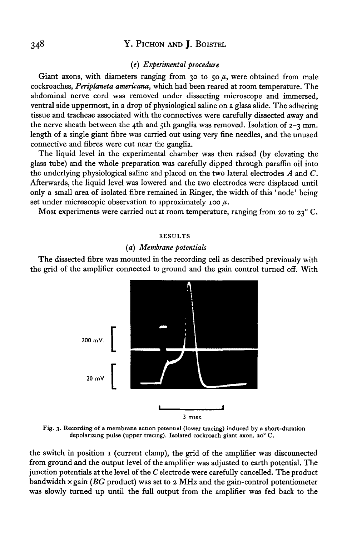# 348 Y. PICHON AND J. BOISTEL

#### *(e) Experimental procedure*

Giant axons, with diameters ranging from 30 to  $50 \mu$ , were obtained from male cockroaches, *Periplaneta americana,* which had been reared at room temperature. The abdominal nerve cord was removed under dissecting microscope and immersed, ventral side uppermost, in a drop of physiological saline on a glass slide. The adhering tissue and tracheae associated with the connectives were carefully dissected away and the nerve sheath between the 4th and 5th ganglia was removed. Isolation of  $2-3$  mm. length of a single giant fibre was carried out using very fine needles, and the unused connective and fibres were cut near the ganglia.

The liquid level in the experimental chamber was then raised (by elevating the glass tube) and the whole preparation was carefully dipped through paraffin oil into the underlying physiological saline and placed on the two lateral electrodes *A* and *C.* Afterwards, the liquid level was lowered and the two electrodes were displaced until only a small area of isolated fibre remained in Ringer, the width of this 'node\* being set under microscopic observation to approximately 100  $\mu$ .

Most experiments were carried out at room temperature, ranging from 20 to  $23^{\circ}$  C.

#### RESULTS

#### *[a) Membrane potentials*

The dissected fibre was mounted in the recording cell as described previously with the grid of the amplifier connected to ground and the gain control turned off. With



Fig. 3. Recording of a membrane action potential (lower tracing) induced by a short-duration depolarizing pulse (upper tracing). Isolated cockroach giant axon. ao° C.

the switch in position 1 (current clamp), the grid of the amplifier was disconnected from ground and the output level of the amplifier was adjusted to earth potential. The junction potentials at the level of the *C* electrode were carefully cancelled. The product bandwidth x gain *{BG* product) was set to 2 MHz and the gain-control potentiometer was slowly turned up until the full output from the amplifier was fed back to the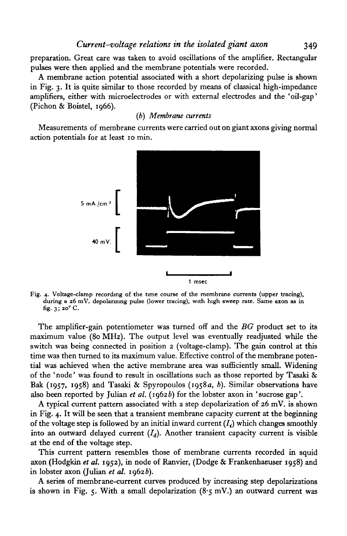preparation. Great care was taken to avoid oscillations of the amplifier. Rectangular pulses were then applied and the membrane potentials were recorded.

A membrane action potential associated with a short depolarizing pulse is shown in Fig. 3. It is quite similar to those recorded by means of classical high-impedance amplifiers, either with microelectrodes or with external electrodes and the 'oil-gap' (Pichon & Boistel, 1966).

## *(b) Membrane currents*

Measurements of membrane currents were carried out on giant axons giving normal action potentials for at least 10 min.



Fig. 4. Voltage-clamp recording of the time course of the membrane currents (upper tracing), during a 26 mV. depolarizing pulse (lower tracing), with high sweep rate. Same axon as in fig.  $3$ ; 20 $^{\circ}$  C.

The amplifier-gain potentiometer was turned off and the *BG* product set to its maximum value (80 MHz). The output level was eventually readjusted while the switch was being connected in position 2 (voltage-clamp). The gain control at this time was then turned to its maximum value. Effective control of the membrane potential was achieved when the active membrane area was sufficiently small. Widening of the ' node' was found to result in oscillations such as those reported by Tasaki & Bak (1957, 1958) and Tasaki & Spyropoulos (1958a, *b).* Similar observations have also been reported by Julian *et al.* (19626) for the lobster axon in 'sucrose gap'.

A typical current pattern associated with a step depolarization of 26 mV. is shown in Fig. 4. It will be seen that a transient membrane capacity current at the beginning of the voltage step is followed by an initial inward current  $(I_i)$  which changes smoothly into an outward delayed current  $(I<sub>d</sub>)$ . Another transient capacity current is visible at the end of the voltage step.

This current pattern resembles those of membrane currents recorded in squid axon (Hodgkin *et al.* 1952), in node of Ranvier, (Dodge & Frankenhaeuser 1958) and in lobster axon (Julian et al. 1962b).

A series of membrane-current curves produced by increasing step depolarizations is shown in Fig. 5. With a small depolarization (8.5 mV.) an outward current was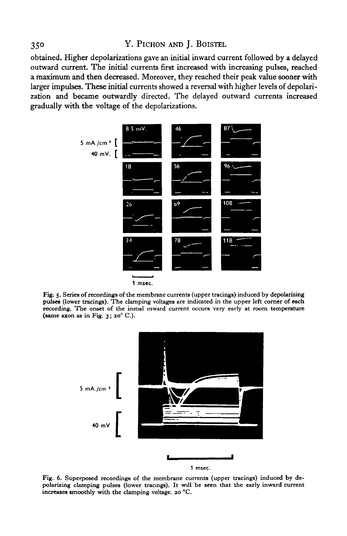## 35° Y. PlCHON AND J. BOISTEL

obtained. Higher depolarizations gave an initial inward current followed by a delayed outward current. The initial currents first increased with increasing pulses, reached a maximum and then decreased. Moreover, they reached their peak value sooner with larger impulses. These initial currents showed a reversal with higher levels of depolarization and became outwardly directed. The delayed outward currents increased gradually with the voltage of the depolarizations.



Fig. 5. Series of recordings of the membrane currents (upper tracings) induced by depolarizing pulses (lower tracings). The clamping voltages are indicated in the upper left corner of each recording. The onset of the initial inward current occurs very early at room temperature (same axon as in Fig.  $3$ ;  $20^{\circ}$  C.).



Fig. 6. Superposed recordings of the membrane currents (upper tracings) induced by depolarizing clamping pulses (lower tracings). It will be seen that the early inward current increases smoothly with the clamping voltage. 20 °C.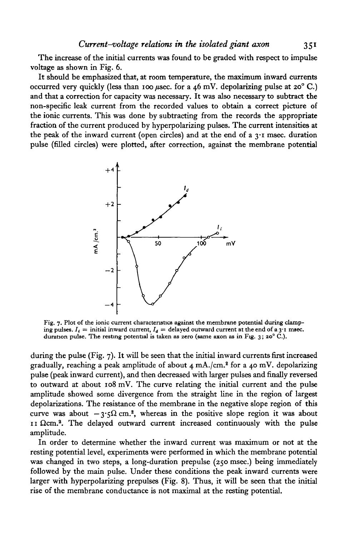The increase of the initial currents was found to be graded with respect to impulse voltage as shown in Fig. 6.

It should be emphasized that, at room temperature, the maximum inward currents occurred very quickly (less than 100  $\mu$ sec. for a 46 mV. depolarizing pulse at 20° C.) and that a correction for capacity was necessary. It was also necessary to subtract the non-specific leak current from the recorded values to obtain a correct picture of the ionic currents. This was done by subtracting from the records the appropriate fraction of the current produced by hyperpolarizing pulses. The current intensities at the peak of the inward current (open circles) and at the end of a  $3 \cdot 1$  msec, duration pulse (filled circles) were plotted, after correction, against the membrane potential



Fig. 7. Plot of the ionic current characteristics against the membrane potential during clamping pulses.  $I_i =$  initial inward current,  $I_d =$  delayed outward current at the end of a 3<sup>-1</sup> msec. duration pulse. The resting potential is taken as zero (same axon as in Fig. 3; 20° C.).

during the pulse (Fig. 7). It will be seen that the initial inward currents first increased gradually, reaching a peak amplitude of about 4 mA./cm.<sup>2</sup> for a 40 mV. depolarizing pulse (peak inward current), and then decreased with larger pulses and finally reversed to outward at about 108 mV. The curve relating the initial current and the pulse amplitude showed some divergence from the straight line in the region of largest depolarizations. The resistance of the membrane in the negative slope region of this curve was about  $-3.5\Omega$  cm.<sup>2</sup>, whereas in the positive slope region it was about  $11$   $\Omega$ cm.<sup>2</sup>. The delayed outward current increased continuously with the pulse amplitude.

In order to determine whether the inward current was maximum or not at the resting potential level, experiments were performed in which the membrane potential was changed in two steps, a long-duration prepulse (250 msec.) being immediately followed by the main pulse. Under these conditions the peak inward currents were larger with hyperpolarizing prepulses (Fig. 8). Thus, it will be seen that the initial rise of the membrane conductance is not maximal at the resting potential.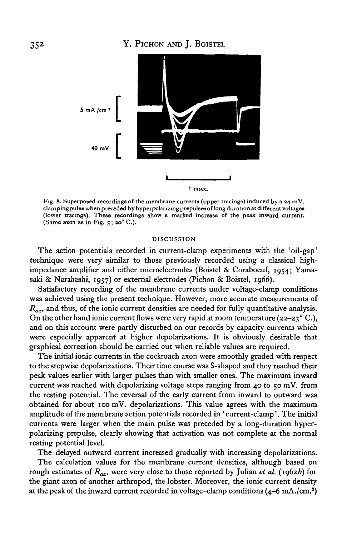

Fig. 8. Superposed recordings of the membrane currents (upper tracings) induced by a  $z_4$  mV.<br>clamping pulse when preceded by hyperpolarizing prepulses of long duration at different voltages<br>(lower tracings). These recor

#### DISCUSSION

The action potentials recorded in current-clamp experiments with the 'oil-gap' technique were very similar to those previously recorded using a classical highimpedance amplifier and either microelectrodes (Boistel & Coraboeuf, 1954; Yamasaki & Narahashi, 1957) or external electrodes (Pichon & Boistel, 1966).

Satisfactory recording of the membrane currents under voltage-clamp conditions was achieved using the present technique. However, more accurate measurements of  $R_{ax}$ , and thus, of the ionic current densities are needed for fully quantitative analysis. On the other hand ionic current flows were very rapid at room temperature (22–23 $^{\circ}$  C.), and on this account were partly disturbed on our records by capacity currents which were especially apparent at higher depolarizations. It is obviously desirable that graphical correction should be carried out when reliable values are required.

The initial ionic currents in the cockroach axon were smoothly graded with respect to the stepwise depolarizations. Their time course was S-shaped and they reached their peak values earlier with larger pulses than with smaller ones. The maximum inward current was reached with depolarizing voltage steps ranging from 40 to  $50 \text{ mV}$ . from the resting potential. The reversal of the early current from inward to outward was obtained for about 100 mV. depolarizations. This value agrees with the maximum amplitude of the membrane action potentials recorded in 'current-clamp'. The initial currents were larger when the main pulse was preceded by a long-duration hyperpolarizing prepulse, clearly showing that activation was not complete at the normal resting potential level.

The delayed outward current increased gradually with increasing depolarizations.

The calculation values for the membrane current densities, although based on rough estimates of  $R_{ax}$ , were very close to those reported by Julian et al. (1962b) for the giant axon of another arthropod, the lobster. Moreover, the ionic current density at the peak of the inward current recorded in voltage-clamp conditions (4–6 mA./cm.<sup>2</sup>)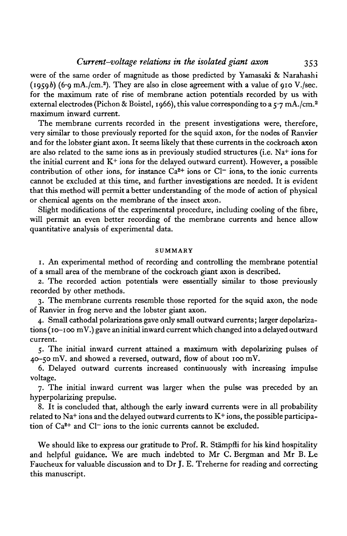# *Current-voltage relations in the isolated giant axon* 353

were of the same order of magnitude as those predicted by Yamasaki & Narahashi  $(1959b)$  (6.9 mA./cm.<sup>2</sup>). They are also in close agreement with a value of 910 V./sec. for the maximum rate of rise of membrane action potentials recorded by us with external electrodes (Pichon & Boistel, 1966), this value corresponding to a  $\zeta$  7 mA./cm.<sup>2</sup> maximum inward current.

The membrane currents recorded in the present investigations were, therefore, very similar to those previously reported for the squid axon, for the nodes of Ranvier and for the lobster giant axon. It seems likely that these currents in the cockroach axon are also related to the same ions as in previously studied structures (i.e. Na<sup>+</sup> ions for the initial current and  $K^+$  ions for the delayed outward current). However, a possible contribution of other ions, for instance  $Ca^{2+}$  ions or Cl<sup>-</sup> ions, to the ionic currents cannot be excluded at this time, and further investigations are needed. It is evident that this method will permit a better understanding of the mode of action of physical or chemical agents on the membrane of the insect axon.

Slight modifications of the experimental procedure, including cooling of the fibre, will permit an even better recording of the membrane currents and hence allow quantitative analysis of experimental data.

#### SUMMARY

1. An experimental method of recording and controlling the membrane potential of a small area of the membrane of the cockroach giant axon is described.

2. The recorded action potentials were essentially similar to those previously recorded by other methods.

3. The membrane currents resemble those reported for the squid axon, the node of Ranvier in frog nerve and the lobster giant axon.

4. Small cathodal polarizations gave only small outward currents; larger depolarizations (10-100 mV.) gave an initial inward current which changed into a delayed outward current.

5. The initial inward current attained a maximum with depolarizing pulses of 40-50 mV. and showed a reversed, outward, flow of about 100 mV.

6. Delayed outward currents increased continuously with increasing impulse voltage.

7. The initial inward current was larger when the pulse was preceded by an hyperpolarizing prepulse.

8. It is concluded that, although the early inward currents were in all probability related to Na+ ions and the delayed outward currents to K+ ions, the possible participation of  $Ca^{2+}$  and  $Cl^-$  ions to the ionic currents cannot be excluded.

We should like to express our gratitude to Prof. R. Stämpfli for his kind hospitality and helpful guidance. We are much indebted to Mr C. Bergman and Mr B. Le Faucheux for valuable discussion and to Dr J. E. Treherne for reading and correcting this manuscript.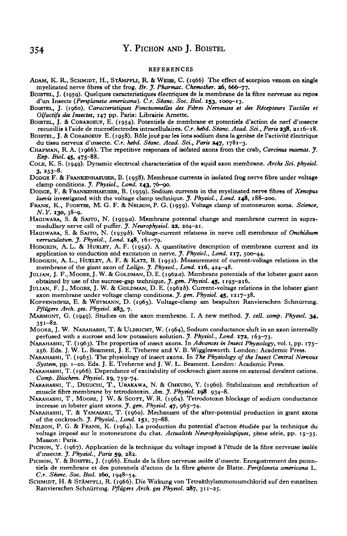#### REFERENCES

- ADAM, K. R., SCHMIDT, H., STAMPFIJ, R. & WEISS, C. (1966) The effect of scorpion venom on single
- myelinated nerve fibres of the frog. *Br. J. Pharmac. Chemother.* **26**, 666-77.<br>BOISTEL, J. (1959). Quelques caracteristiques électriques de la membrane de la fibre nerveuse au repos<br>d'un Insecte (*Pertplaneta americana*).
- BOISTEL, J. (1960). Caracteristiques Fonctionnelles des Fibres Nerveuses et des Récepteurs Tactiles et<br>Olfactifs des Insectes, 147 pp. Paris: Librairie Arnette.
- BOISTEL, J. & CORABOEUF, E. (1954). Potentiels de membrane et potentiels d'action de nerf d'insecte<br>recueillis à l'aide de microélectrodes intracellulaires. C.r. hebd. Séanc. Acad. Sci., Paris 238, 2116–18.
- BOISTEL, J. & CORABOEUF E. (1958). Rôle joué par les ions sodium dans la genèse de l'activité électrique<br>du tissu nerveux d'insecte. C.r. hebd. Séanc. Acad. Sci., Paris 247, 1781-3.
- CHAPMAN, R. A. (1966). The repetitive responses of isolated axons from the crab, Carcinus maenas. J. *Exp. Biol.* **45,** 475-88. COLE, K. S. (1949). Dynamic electrical characteristics of the squid axon membrane. *Archs Sci. phytiol.*
- 
- 3, 253-8.<br>DODGE F. & FRANKENHAEUSER, B. (1958). Membrane currents in isolated frog nerve fibre under voltage clamp conditions. *J. Physiol., Lond.* 143, 76-90.
- DODGE, F. & FRANKENHAEUSER, B. (1959). Sodium currents in the myelinated nerve fibres of *Xenopus* laevis investigated with the voltage clamp technique. *J. Physiol.*, *Lond.* **148**, 188–200.
- *laevis* investigated with the voltage clamp technique. *J. Physiol., Lond.* **148,** 188-200. FRANK, K., FUORTES, M, G. F. & NELSON, P. G. (1959). Voltage clamp of motoneuron soma. *Science,*
- N.Y. 130, 38–9.<br>HAGIWARA, S. & SAITO, N. (1959a). Membrane potential change and membrane current in supra-<br>medullary nerve cell of puffer. *J. Neurophysiol.* **22**, 204–21.<br>HAGIWARA, S. & SAITO, N. (1959b). Voltage-current
- 
- HODGKIN, A. L. & HUXLEY, A. F. (1952). A quantitative description of membrane current and its application to conduction and excitation in nerve. *J. Physiol.*, *Lond.* 117, 500-44.<br>HODGKIN, A. L., HUXLEY, A. F. & KATZ, B.
- 
- JULIAN, J. F., MOORE, J. W. & GOLDMAN, D. E. (1962a). Membrane potentials of the lobster giant axon obtained by use of the sucrose-gap technique. *J. gen. Physiol.* 45, 1195-216.
- JULIAN, F. J., MOORE, J. W. & GOLDMAN, D. E. (1962b). Current-voltage relations in the lobster giant axon membrane under voltage clamp conditions. *J. gen. Physiol.* **45**, 1217–38.
- KOPPENHÖFER, E. & WEYMANN, D. (1965). Voltage-clamp am bespulten Ranvierschen Schnurring. *PflOgers Arch. ges. Phytiol.* **383,** 7.
- MARMONT, G. (1949). Studies on the axon membrane. I. A new method. *J. cell. comp. Phystol.* **34,**  $351 - 82$ .
- MOORE, J. W. NARAHASHI, T. & ULBRICHT, W. (1964), Sodium conductance shift in an axon internally perfused with a sucrose and low potassium solution. *J. Physiol.*, *Lond.* 172, 163-73.
- PARAHASHI, T. (1963). The properties of insect axons. In *Advances in Insect Physiology*, vol. 1, pp. 175-
- 256. Eds. J. W. L. Beament, J. E. Treherne and V. B. Wigglesworth. London: Academic Press. NARAHASHI, T. (1965). The physiology of insect axons. In *The Physiology of the Insect Central Nervous*
- NARAHASHI, T. (1966). Dependance of excitability of cockroach giant axons on external divalent cations. *Comp. Biochem. Physiol.* **19,** 759-^74.
- NARAHASHI, T., DEGUCHI, T., URAKAWA, N. & OHKUBO, Y. (1960). Stabilization and rectification of muscle fibre membrane by tetrodotoxin. Am. J. Physiol. 198 934-8.
- MARAHASHI, T, MOORE, J W. & SCOTT, W. R. (1964). Tetrodotoxin blockage of sodium conductance increase in lobster giant axons. *J. gen. Physiol.* **47**, 965-74.
- NARAHASHI, T. & YAMASAKI, T. (1960). Mechanism of the after-potential production in giant axons of the cockroach. *J. Physiol., Lond.* **151,** 75-88. NELSON, P. G. & FRANK, K. (1964). La production du potential d'action etudiee par la technique du
- voltage imposé sur le motoneurone du chat. *Actualités Neurophysiologiques*, 5ème série, pp. 15-35. Masson: Paris.<br>PICHON, Y. (1967). Application de la technique du voltage imposé à l'étude de la fibre nerveuse isolée
- 
- d'insecte. J. Physiol., Paris 59, 282.<br>PICHON, Y. & BOISTEL, J. (1966). Etude de la fibre nerveuse isolée d'insecte. Enregistrement des poten-<br>tiels de membrane et des potentiels d'action de la fibre géante de Blatte. Peri *C.r. Séanc. Soc. Biol.* 160, 1948–54.<br>SCHMIDT, H. & STAMPFLI, R. (1966). Die Wirkung von Tetraäthylammoniumchlorid auf den einzelnen
- Ranvierschen Schniirnng. *Pflugers Arch, ges Phystol.* **387,** 311—25.